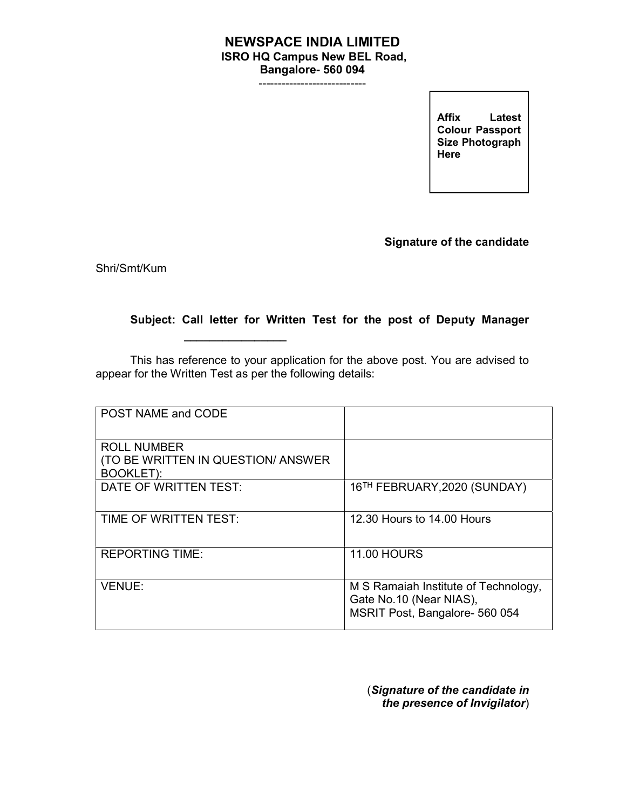## NEWSPACE INDIA LIMITED ISRO HQ Campus New BEL Road, Bangalore- 560 094

----------------------------

Allix Latest<br>Colour Passport Affix Latest Size Photograph **Here** 

Signature of the candidate

Shri/Smt/Kum

## Subject: Call letter for Written Test for the post of Deputy Manager

This has reference to your application for the above post. You are advised to appear for the Written Test as per the following details:

 $\overline{\phantom{a}}$  , and the set of the set of the set of the set of the set of the set of the set of the set of the set of the set of the set of the set of the set of the set of the set of the set of the set of the set of the s

| POST NAME and CODE                                                            |                                                                                                   |
|-------------------------------------------------------------------------------|---------------------------------------------------------------------------------------------------|
| <b>ROLL NUMBER</b><br>(TO BE WRITTEN IN QUESTION/ ANSWER)<br><b>BOOKLET):</b> |                                                                                                   |
| DATE OF WRITTEN TEST:                                                         | 16 <sup>TH</sup> FEBRUARY, 2020 (SUNDAY)                                                          |
| TIME OF WRITTEN TEST:                                                         | 12.30 Hours to 14.00 Hours                                                                        |
| <b>REPORTING TIME:</b>                                                        | <b>11.00 HOURS</b>                                                                                |
| <b>VENUE:</b>                                                                 | M S Ramaiah Institute of Technology,<br>Gate No.10 (Near NIAS),<br>MSRIT Post, Bangalore- 560 054 |

(Signature of the candidate in the presence of Invigilator)